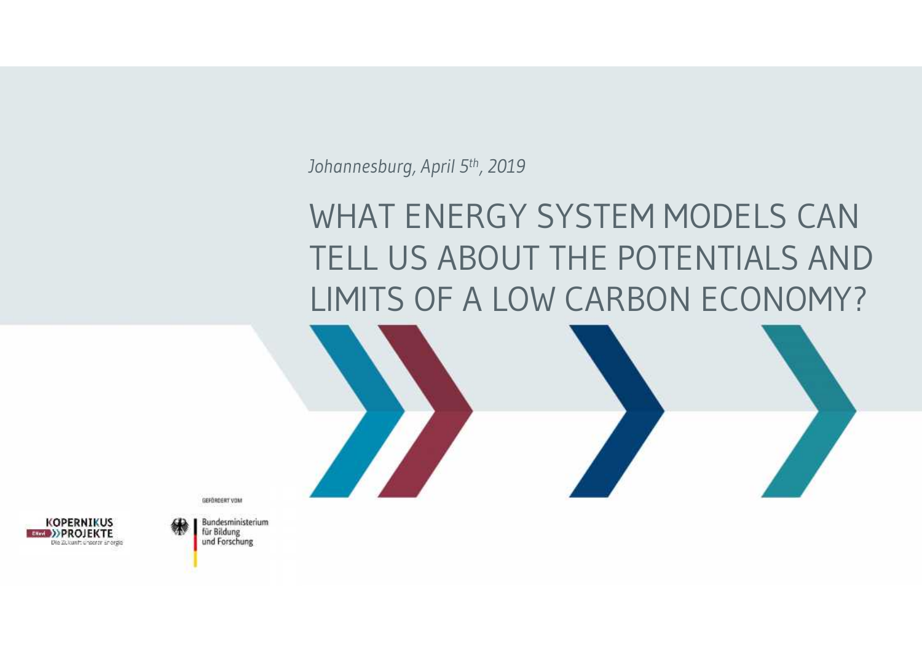*Johannesburg, April 5th, 2019*

# WHAT ENERGY SYSTEM MODELS CAN TELL US ABOUT THE POTENTIALS AND LIMITS OF A LOW CARBON ECONOMY?

GEFÖRDERT VOM



**Bundesministerium** für Bildung und Forschung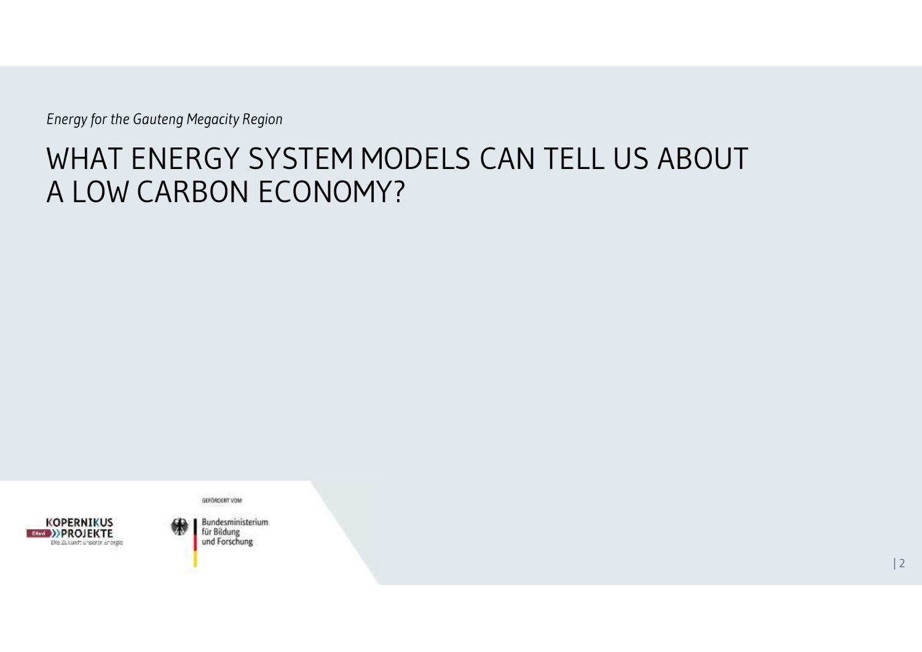## WHAT ENERGY SYSTEM MODELS CAN TELL US ABOUT A LOW CARBON ECONOMY?



GEFÖRDERT VOM **Bundesministerium** für Bildung

und Forschung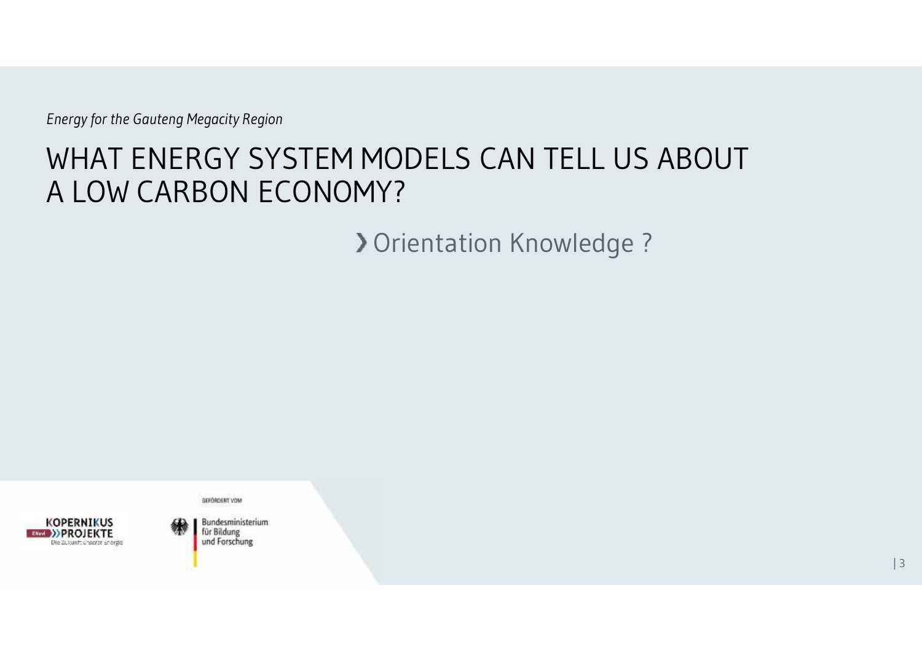# WHAT ENERGY SYSTEM MODELS CAN TELL US ABOUT A LOW CARBON ECONOMY?

**> Orientation Knowledge ?** 



**GEFÖRDERT VOM Bundesministerium** 

für Bildung und Forschung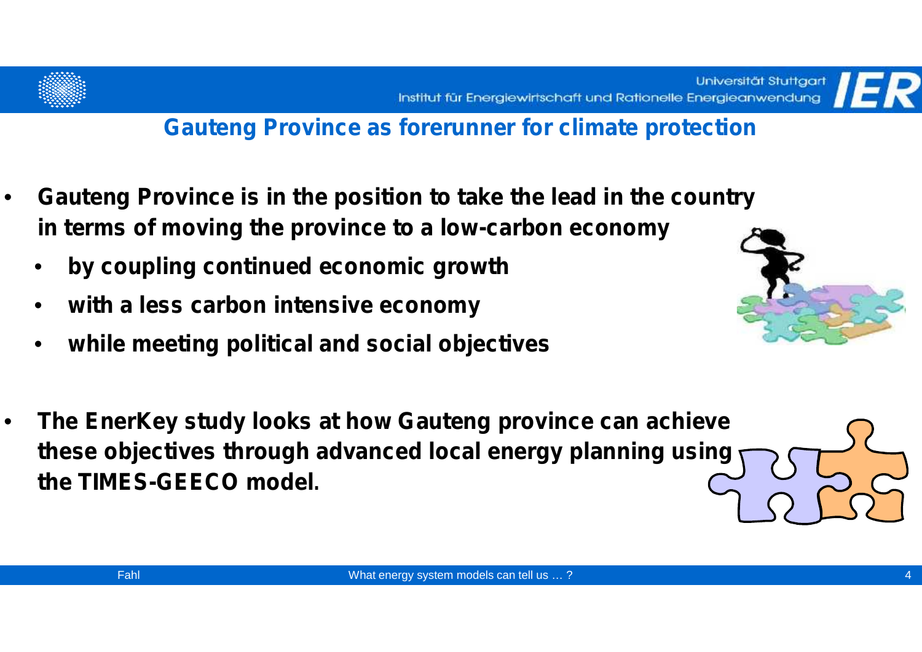



- **Gauteng Province is in the position to take the lead in the country in terms of moving the province to a low-carbon economy**
	- **by coupling continued economic growth**
	- **with a less carbon intensive economy**
	- **while meeting political and social objectives**



• **The EnerKey study looks at how Gauteng province can achieve these objectives through advanced local energy planning using the TIMES-GEECO model.**

4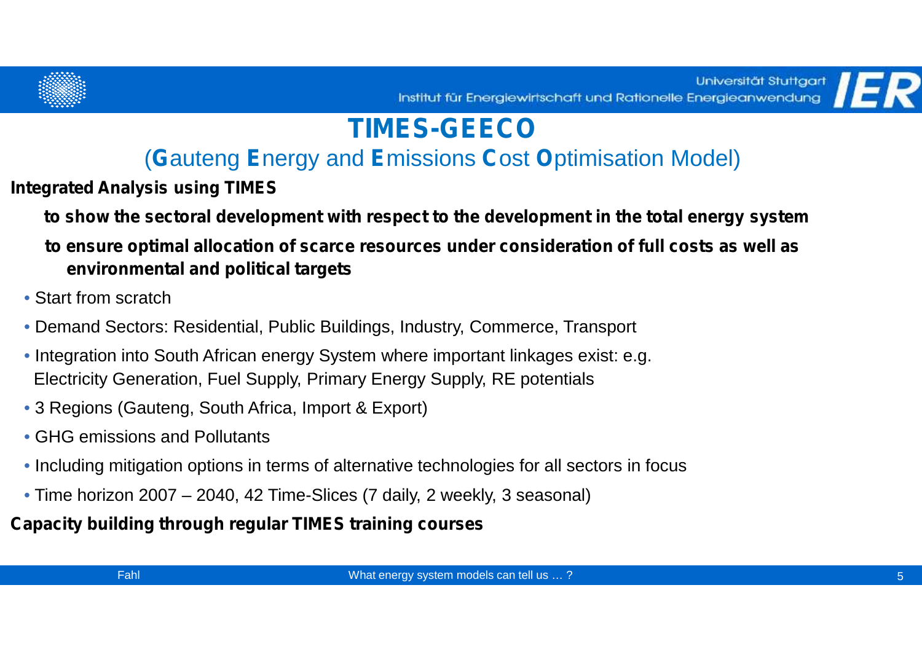

# **TIMES-GEECO**

#### (**G**auteng **E**nergy and **E**missions **C**ost **O**ptimisation Model)

**Integrated Analysis using TIMES**

**to show the sectoral development with respect to the development in the total energy system**

#### **to ensure optimal allocation of scarce resources under consideration of full costs as well as environmental and political targets**

- Start from scratch
- Demand Sectors: Residential, Public Buildings, Industry, Commerce, Transport
- Integration into South African energy System where important linkages exist: e.g. Electricity Generation, Fuel Supply, Primary Energy Supply, RE potentials
- 3 Regions (Gauteng, South Africa, Import & Export)
- GHG emissions and Pollutants
- Including mitigation options in terms of alternative technologies for all sectors in focus
- Time horizon 2007 2040, 42 Time-Slices (7 daily, 2 weekly, 3 seasonal)

#### **Capacity building through regular TIMES training courses**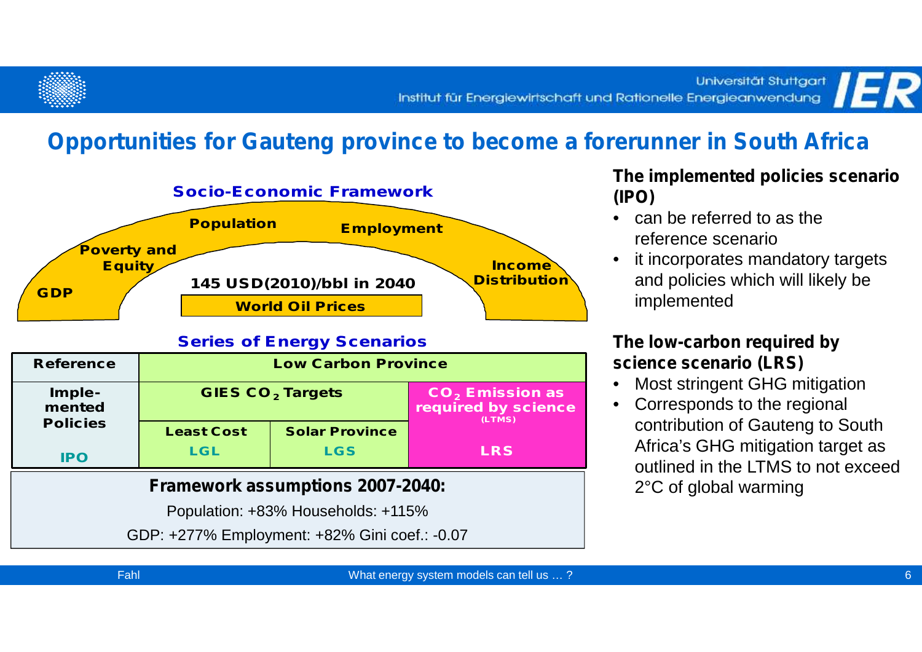#### **Opportunities for Gauteng province to become a forerunner in South Africa**



#### **Series of Energy Scenarios**

| <b>Reference</b>                        | <b>Low Carbon Province</b>         |                       |                                                    |  |
|-----------------------------------------|------------------------------------|-----------------------|----------------------------------------------------|--|
| Imple-<br>mented                        | <b>GIES CO<sub>2</sub> Targets</b> |                       | $CO2$ Emission as<br>required by science<br>(LTMS) |  |
| <b>Policies</b>                         | <b>Least Cost</b>                  | <b>Solar Province</b> |                                                    |  |
| <b>IPO</b>                              | <b>LGL</b>                         | <b>LGS</b>            | <b>LRS</b>                                         |  |
| <b>Framework assumptions 2007-2040:</b> |                                    |                       |                                                    |  |

Population: +83% Households: +115%

GDP: +277% Employment: +82% Gini coef.: -0.07

#### **The implemented policies scenario (IPO)**

- can be referred to as the reference scenario
- it incorporates mandatory targets and policies which will likely be implemented

#### **The low-carbon required by science scenario (LRS)**

- Most stringent GHG mitigation
- Corresponds to the regional contribution of Gauteng to South Africa's GHG mitigation target as outlined in the LTMS to not exceed 2°C of global warming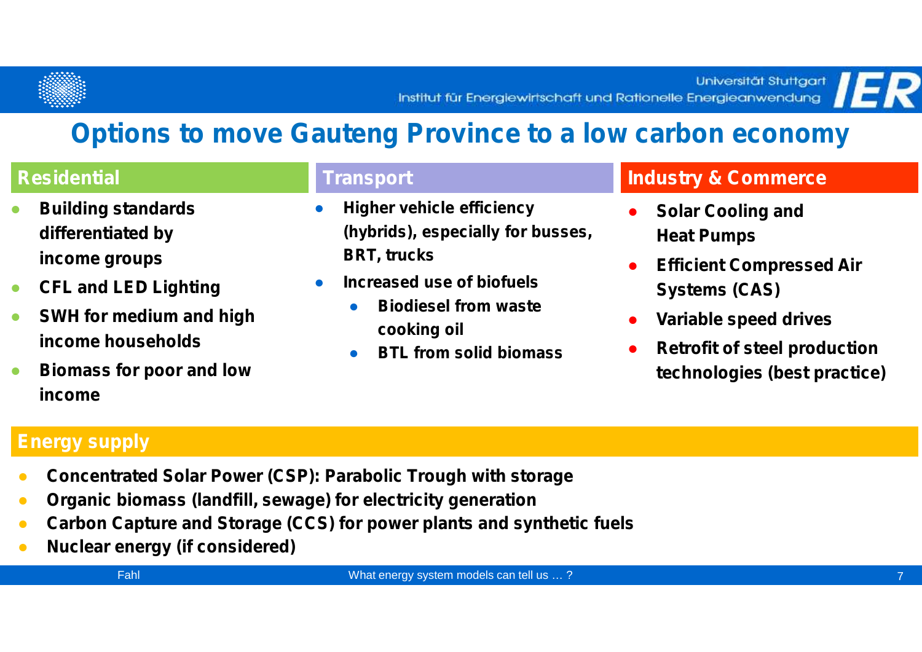



| <b>Building standards</b><br><b>Higher vehicle efficiency</b><br><b>Solar Cooling and</b><br>(hybrids), especially for busses,<br>differentiated by<br><b>Heat Pumps</b>                                                                                                                                                                         | <b>Residential</b> | <b>Transport</b>   | <b>Industry &amp; Commerce</b>                                      |  |  |
|--------------------------------------------------------------------------------------------------------------------------------------------------------------------------------------------------------------------------------------------------------------------------------------------------------------------------------------------------|--------------------|--------------------|---------------------------------------------------------------------|--|--|
| income groups<br><b>Efficient Compressed Air</b><br>Increased use of biofuels<br><b>CFL and LED Lighting</b><br><b>Systems (CAS)</b><br><b>Biodiesel from waste</b><br><b>SWH for medium and high</b><br>Variable speed drives<br>cooking oil<br>income households<br><b>BTL from solid biomass</b><br><b>Biomass for poor and low</b><br>income |                    | <b>BRT, trucks</b> | <b>Retrofit of steel production</b><br>technologies (best practice) |  |  |

#### **Energy supply**

**Concentrated Solar Power (CSP): Parabolic Trough with storage Organic biomass (landfill, sewage) for electricity generation Carbon Capture and Storage (CCS) for power plants and synthetic fuels Nuclear energy (if considered)**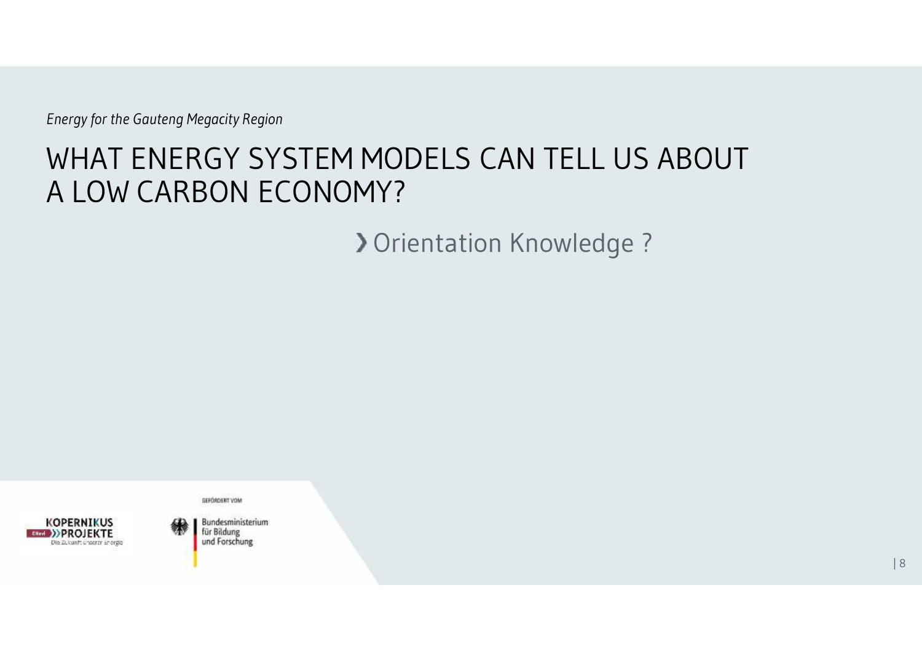# WHAT ENERGY SYSTEM MODELS CAN TELL US ABOUT A LOW CARBON ECONOMY?

**> Orientation Knowledge ?** 



**GEFÖRDERT VOM Bundesministerium** 

für Bildung und Forschung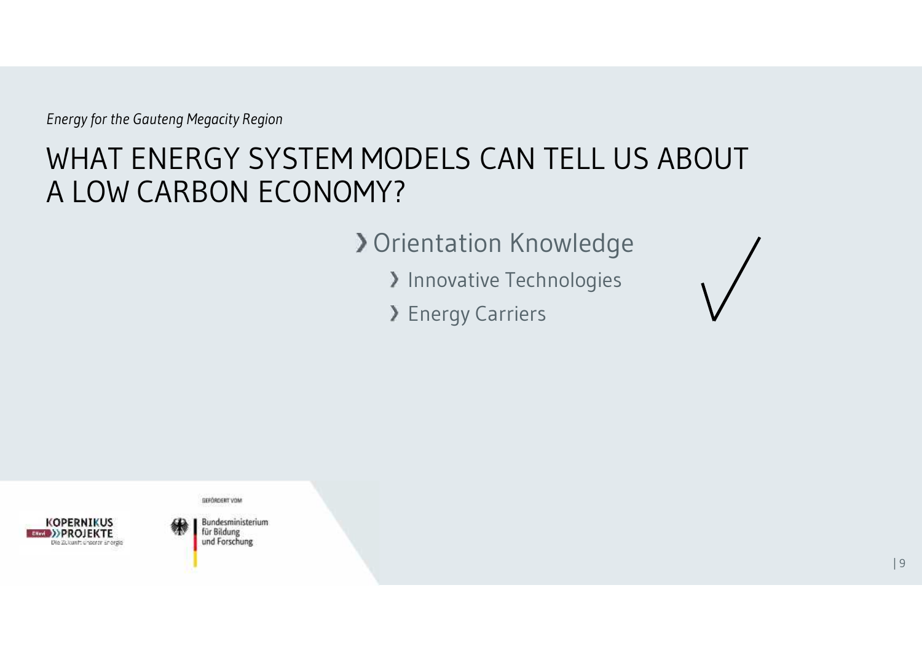# WHAT ENERGY SYSTEM MODELS CAN TELL US ABOUT A LOW CARBON ECONOMY?

#### **> Orientation Knowledge**

- > Innovative Technologies
- > Energy Carriers



GEFÖRDERT VOM **Bundesministerium** 

für Bildung und Forschung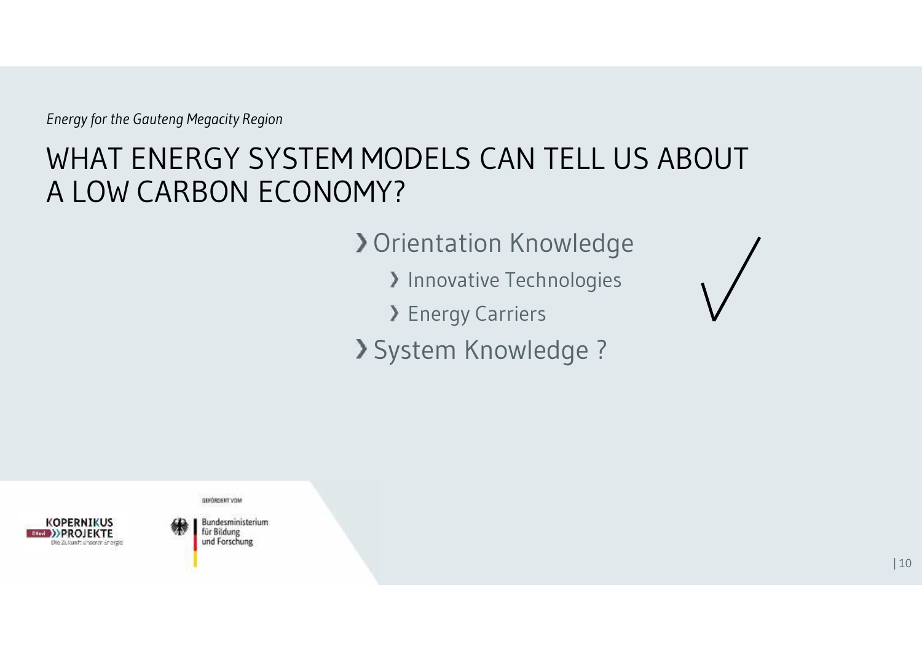# WHAT ENERGY SYSTEM MODELS CAN TELL US ABOUT A LOW CARBON ECONOMY?

**> Orientation Knowledge** 

> Innovative Technologies

> Energy Carriers

System Knowledge ?



GEFÖRDERT VOM

**Bundesministerium** für Bildung und Forschung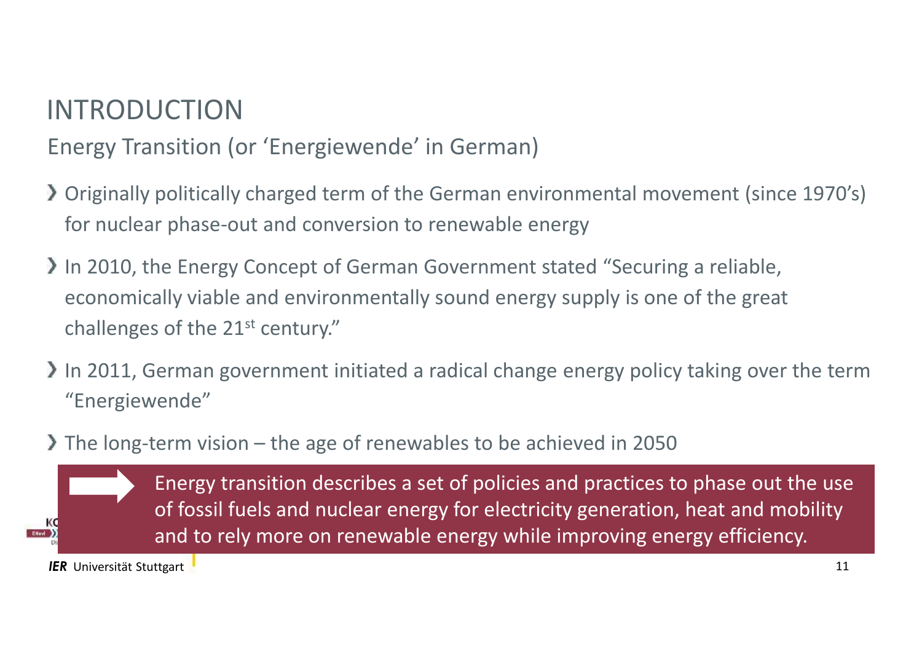### INTRODUCTION

Energy Transition (or 'Energiewende' in German)

- Originally politically charged term of the German environmental movement (since 1970's) for nuclear phase-out and conversion to renewable energy
- In 2010, the Energy Concept of German Government stated "Securing a reliable, economically viable and environmentally sound energy supply is one of the great challenges of the  $21<sup>st</sup>$  century."
- In 2011, German government initiated a radical change energy policy taking over the term "Energiewende"
- The long-term vision the age of renewables to be achieved in 2050

Energy transition describes a set of policies and practices to phase out the use of fossil fuels and nuclear energy for electricity generation, heat and mobility and to rely more on renewable energy while improving energy efficiency.

**IER** Universität Stuttgart **1** and 11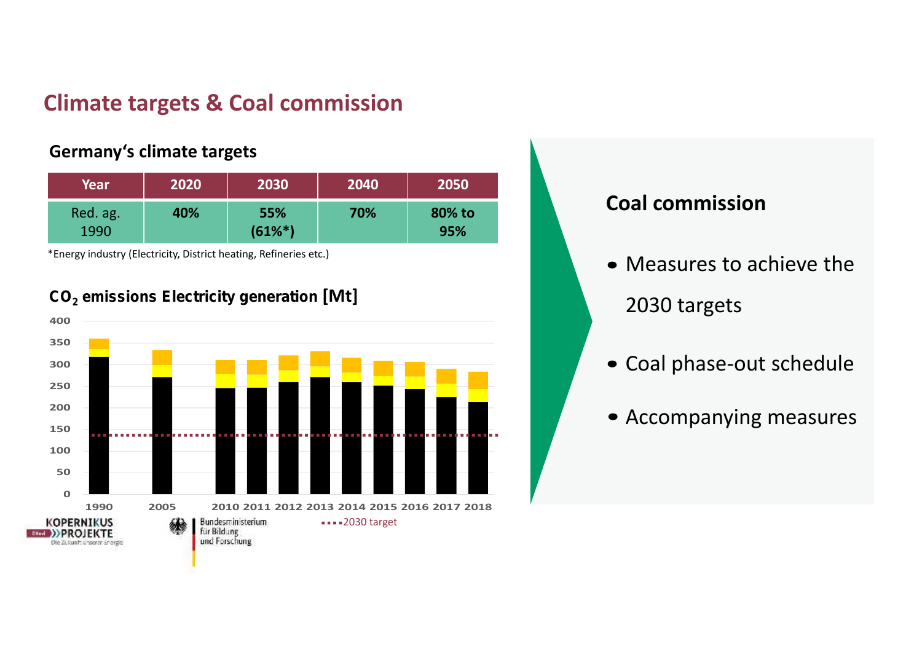#### **Climate targets & Coal commission**

#### **Germany's climate targets**

| Year     | 2020 | 2030       | 2040 | 2050   |
|----------|------|------------|------|--------|
| Red. ag. | 40%  | 55%        | 70%  | 80% to |
| 1990     |      | $(61\%^*)$ |      | 95%    |

\*Energy industry (Electricity, District heating, Refineries etc.)





#### **Coal commission**

- Measures to achieve the 2030 targets
- Coal phase-out schedule
- Accompanying measures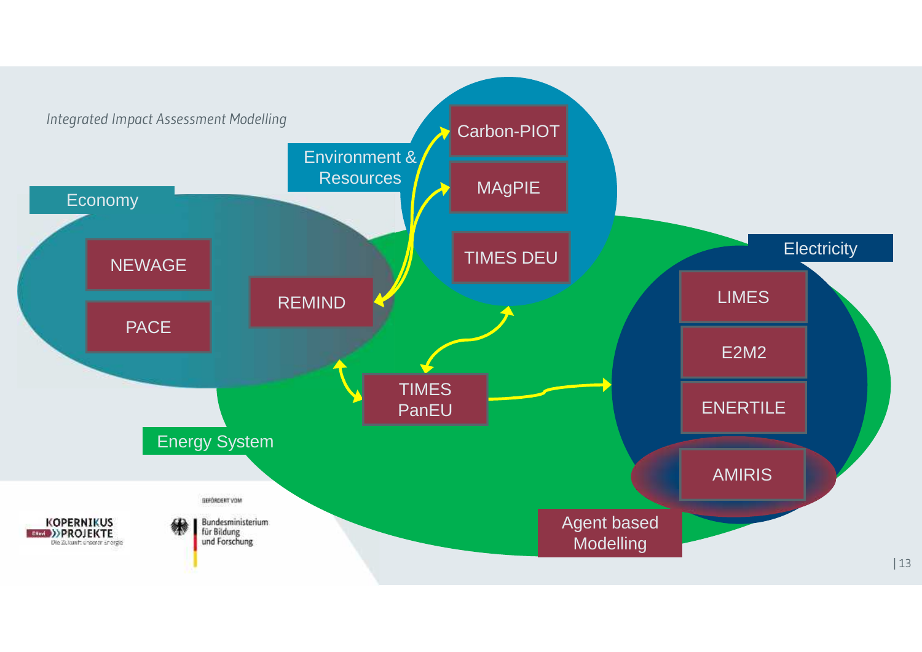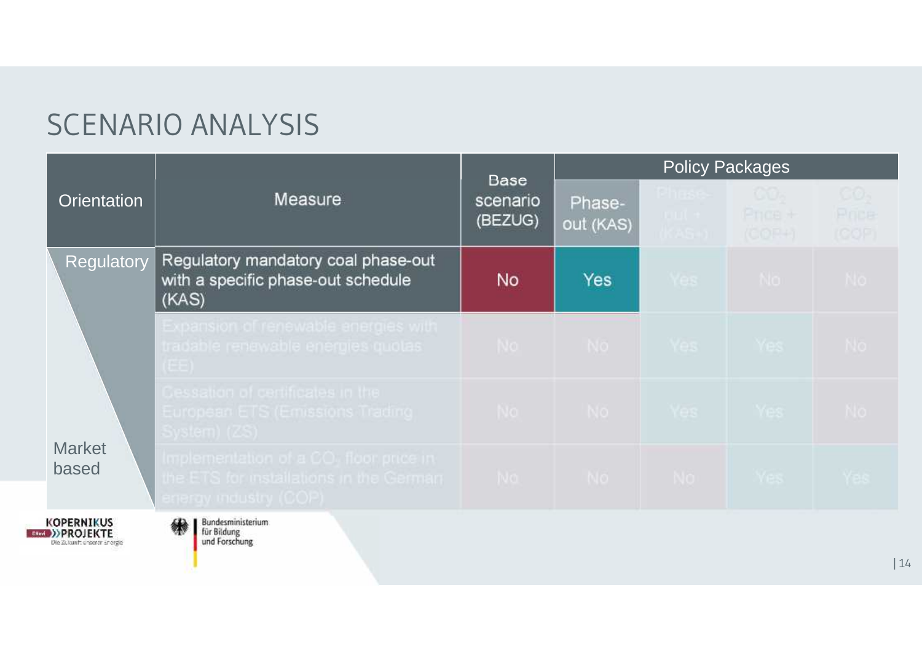# SCENARIO ANALYSIS

|                                                   | <b>Measure</b>                                                                                                        | <b>Base</b>         | <b>Policy Packages</b> |                                           |                                    |                                   |
|---------------------------------------------------|-----------------------------------------------------------------------------------------------------------------------|---------------------|------------------------|-------------------------------------------|------------------------------------|-----------------------------------|
| <b>Orientation</b>                                |                                                                                                                       | scenario<br>(BEZUG) | Phase-<br>out (KAS)    | <b>Ehrst</b><br><b>TOTAL SEC</b><br>das o | $\circ \circ$<br>Price +<br>(COF+) | CO <sub>3</sub><br>Price<br>(COF) |
| Regulatory                                        | Regulatory mandatory coal phase-out<br>with a specific phase-out schedule<br>(KAS)                                    | No                  | <b>Yes</b>             | Yes                                       | No.                                | No.                               |
| <b>Market</b><br>based                            | Expansion of renewable energies with<br>tradable renewable energies quotas<br>(EE)                                    | No l                | No                     | Yes Yes                                   |                                    | No.                               |
|                                                   | Cessation of certificates in the<br>European ETS (Emissions Trading<br>System) (ZS)                                   |                     | No No Yes Yes          |                                           |                                    | No.                               |
|                                                   | Implementation of a CO <sub>1</sub> floor price in<br>the ETS for installations in the German<br>energy moustry (COP) | NO I                |                        |                                           | No No Yes                          | Yes.                              |
| <b>KOPERNIKUS</b><br>Die 20.kunft unserer anorgie | <b>Bundesministerium</b><br>für Bildung<br>und Forschung                                                              |                     |                        |                                           |                                    |                                   |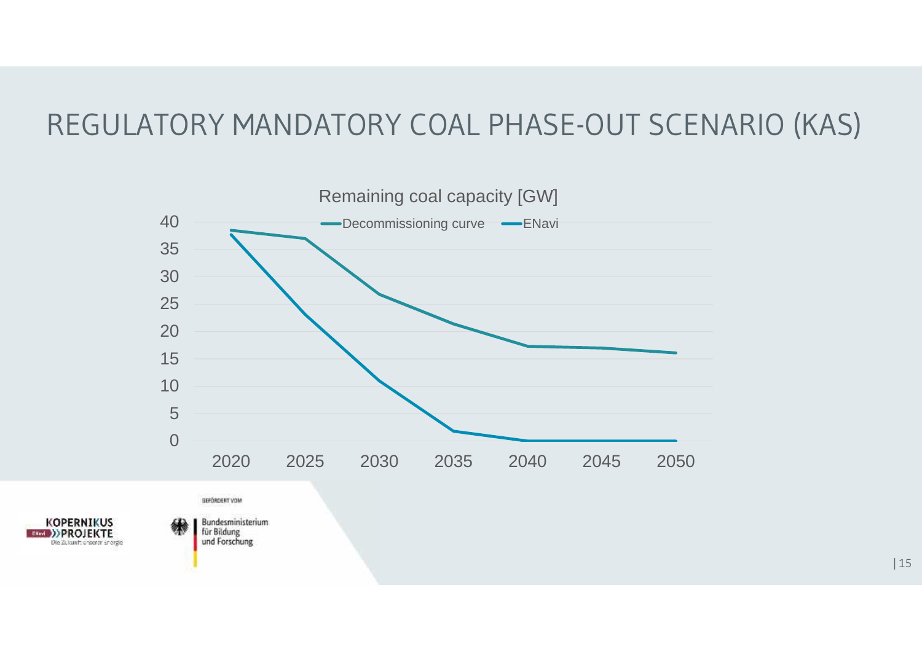# REGULATORY MANDATORY COAL PHASE-OUT SCENARIO (KAS)

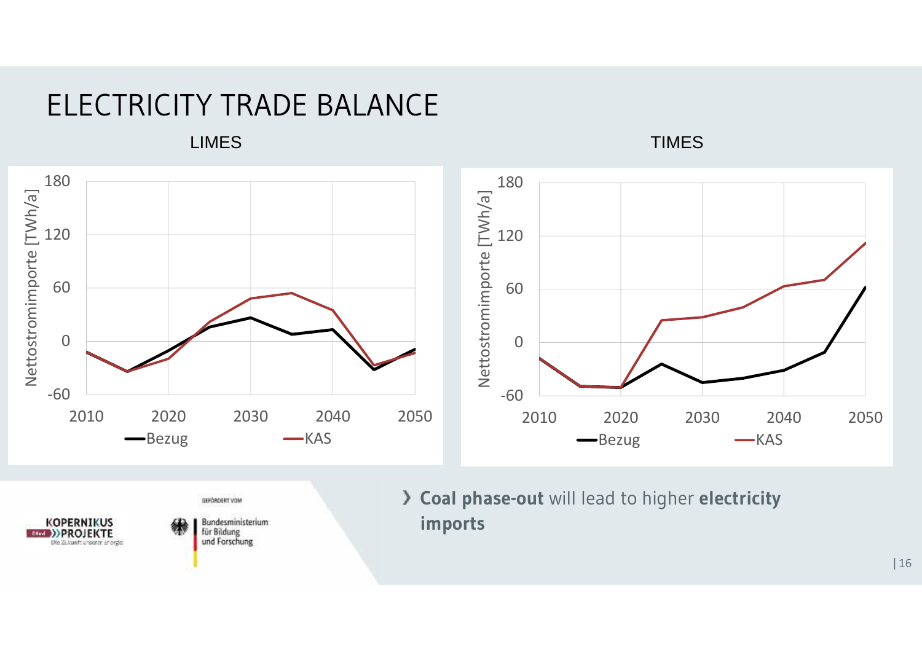### ELECTRICITY TRADE BALANCE



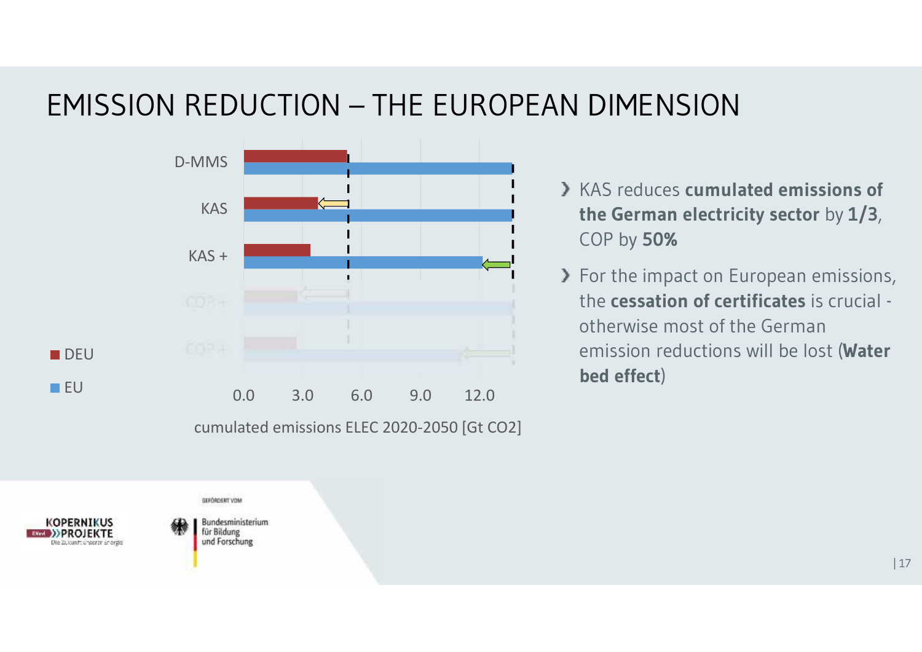# EMISSION REDUCTION – THE EUROPEAN DIMENSION



cumulated emissions ELEC 2020-2050 [Gt CO2]

- KAS reduces **cumulated emissions of the German electricity sector** by **1/3**, COP by **50%**
- > For the impact on European emissions, the **cessation of certificates** is crucial otherwise most of the German emission reductions will be lost (**Water bed effect**)

GEFÖRDERT VOM

**Bundesministerium** für Bildung und Forschung

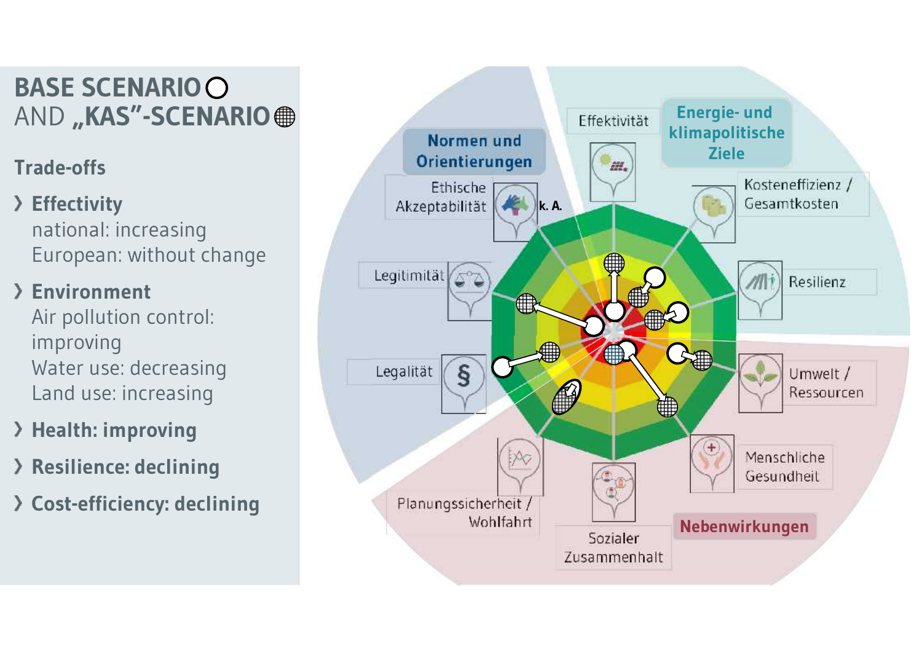# **BASE SCENARIO**

#### **Trade-offs**

#### **Effectivity** national: increasing European: without change

#### **Environment**

Air pollution control: improving Water use: decreasing Land use: increasing

- **Health: improving**
- **Resilience: declining**
- **Cost-efficiency: declining**

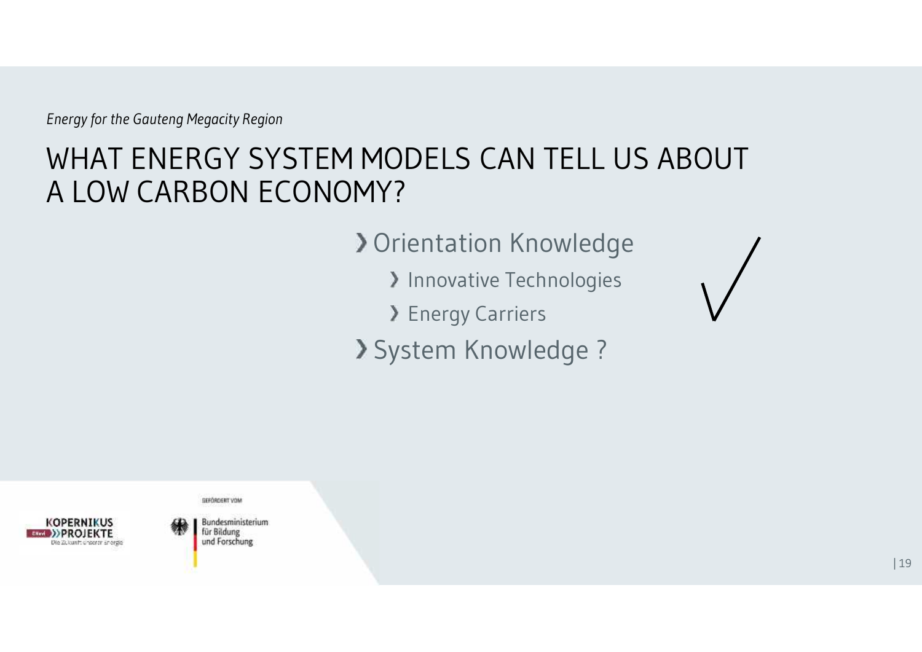# WHAT ENERGY SYSTEM MODELS CAN TELL US ABOUT A LOW CARBON ECONOMY?

**> Orientation Knowledge** 

> Innovative Technologies

> Energy Carriers

System Knowledge ?



GEFÖRDERT VOM

**Bundesministerium** für Bildung und Forschung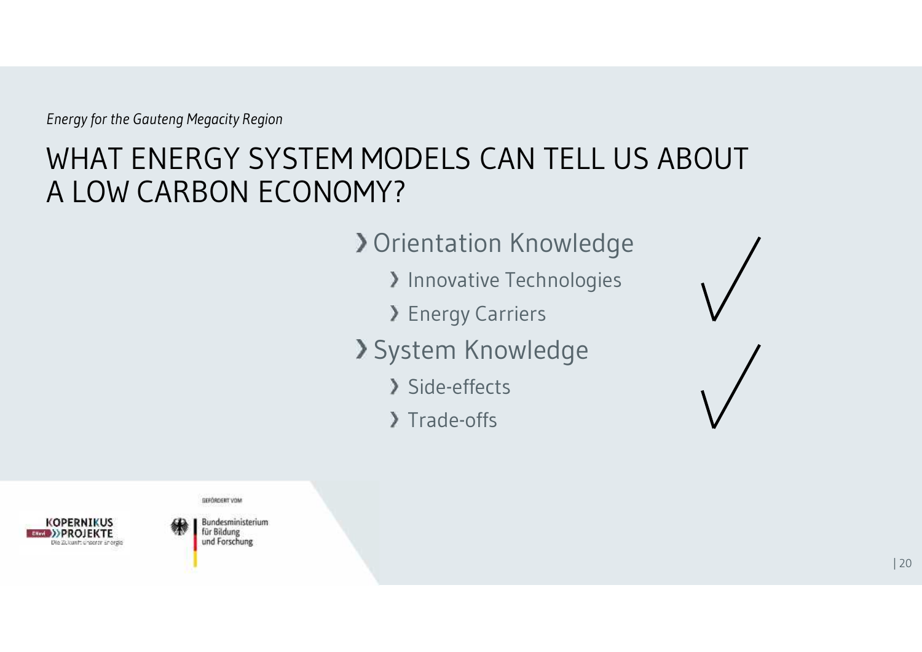# WHAT ENERGY SYSTEM MODELS CAN TELL US ABOUT A LOW CARBON ECONOMY?

**> Orientation Knowledge** 

- **Innovative Technologies**
- **> Energy Carriers**
- System Knowledge
	- Side-effects
	- > Trade-offs





**Bundesministerium** für Bildung

und Forschung

GEFÖRDERT VOM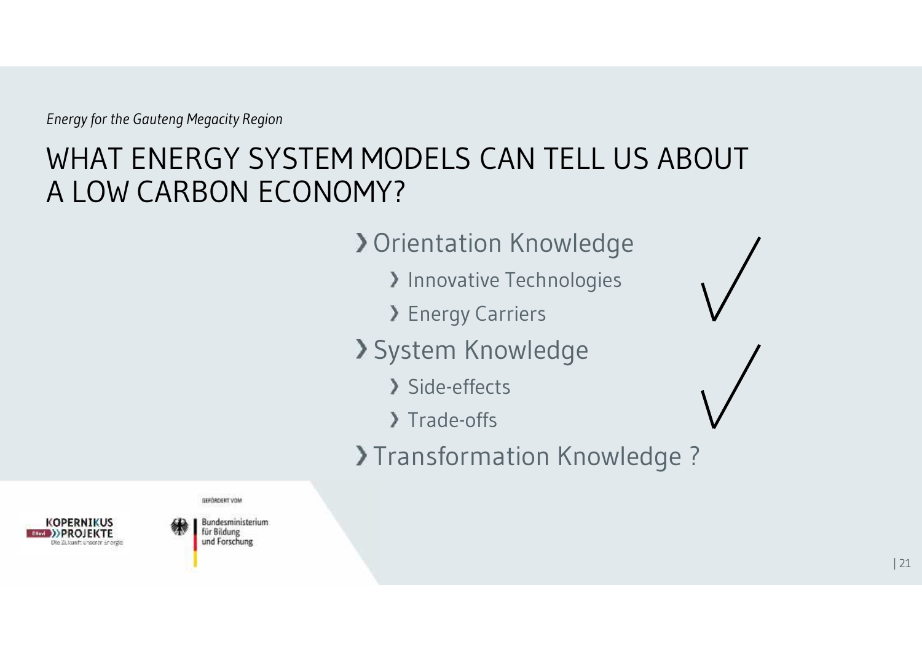# WHAT ENERGY SYSTEM MODELS CAN TELL US ABOUT A LOW CARBON ECONOMY?

**> Orientation Knowledge** 

- > Innovative Technologies
- **> Energy Carriers**
- System Knowledge
	- > Side-effects
	- > Trade-offs
- >Transformation Knowledge ?

**GEFÖRDERT VOM** 



Bundesministerium für Bildung und Forschung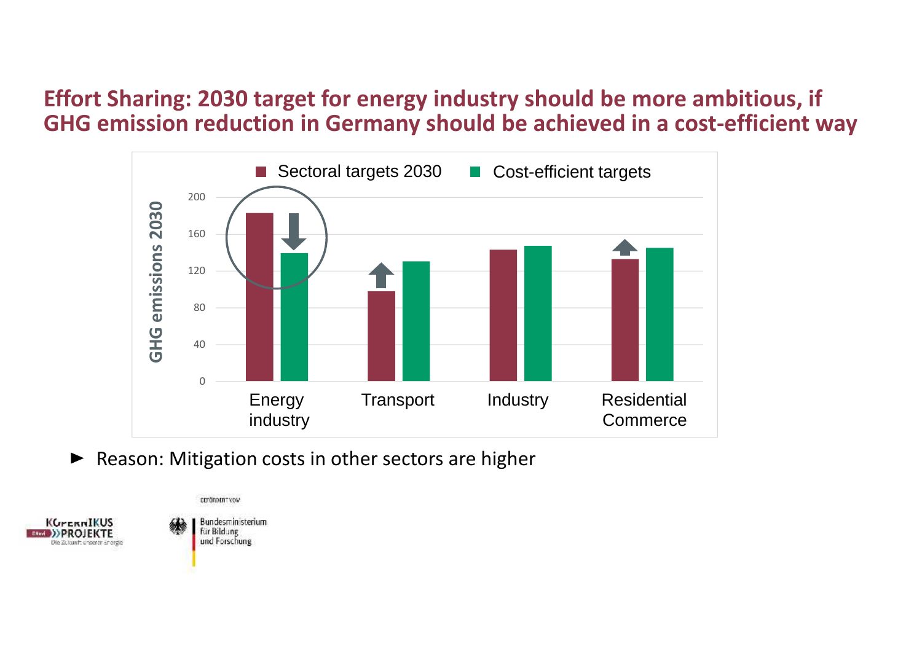#### **Effort Sharing: 2030 target for energy industry should be more ambitious, if GHG emission reduction in Germany should be achieved in a cost-efficient way**



• Reason: Mitigation costs in other sectors are higher



Bundesministerium für Bildung und Forschung

COMMODERTYON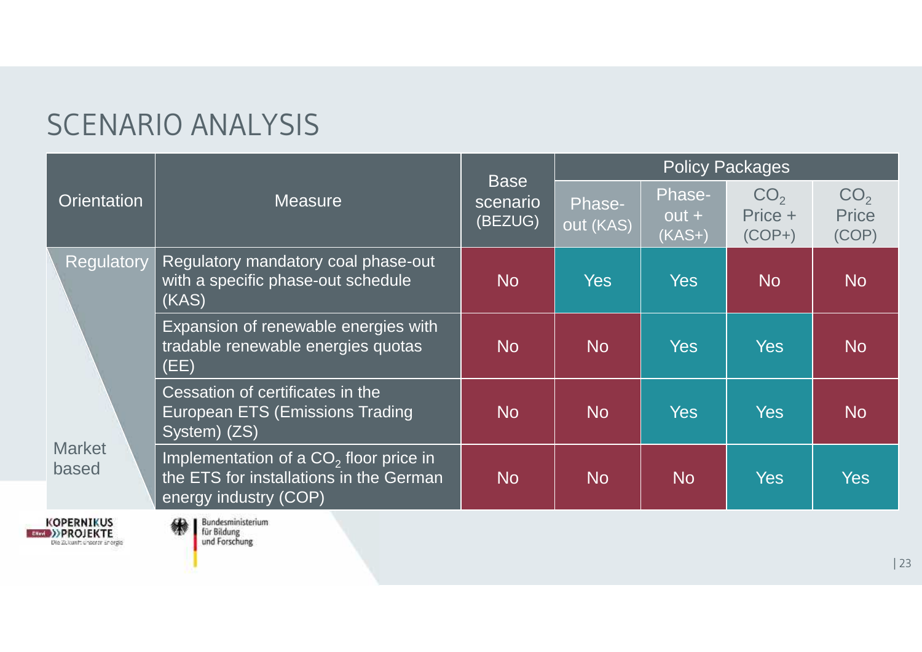# SCENARIO ANALYSIS

|                        | Measure                                                                                                      | <b>Base</b>         | <b>Policy Packages</b> |                               |                                        |                                   |  |
|------------------------|--------------------------------------------------------------------------------------------------------------|---------------------|------------------------|-------------------------------|----------------------------------------|-----------------------------------|--|
| <b>Orientation</b>     |                                                                                                              | scenario<br>(BEZUG) | Phase-<br>out (KAS)    | Phase-<br>$out +$<br>$(KAS+)$ | CO <sub>2</sub><br>Price +<br>$(COP+)$ | CO <sub>2</sub><br>Price<br>(COP) |  |
| Regulatory             | Regulatory mandatory coal phase-out<br>with a specific phase-out schedule<br>(KAS)                           | N <sub>o</sub>      | Yes                    | <b>Yes</b>                    | <b>No</b>                              | N <sub>o</sub>                    |  |
| <b>Market</b><br>based | Expansion of renewable energies with<br>tradable renewable energies quotas<br>(EE)                           | <b>No</b>           | No                     | <b>Yes</b>                    | <b>Yes</b>                             | <b>No</b>                         |  |
|                        | Cessation of certificates in the<br>European ETS (Emissions Trading<br>System) (ZS)                          | <b>No</b>           | No                     | <b>Yes</b>                    | <b>Yes</b>                             | N <sub>o</sub>                    |  |
|                        | Implementation of a $CO2$ floor price in<br>the ETS for installations in the German<br>energy industry (COP) | <b>No</b>           | <b>No</b>              | <b>No</b>                     | <b>Yes</b>                             | Yes                               |  |

KOPERNIKUS<br>
ERRAND PROJEKTE<br>
Die 2000 Staat Staat Staat

Bundesministerium<br>für Bildung<br>und Forschung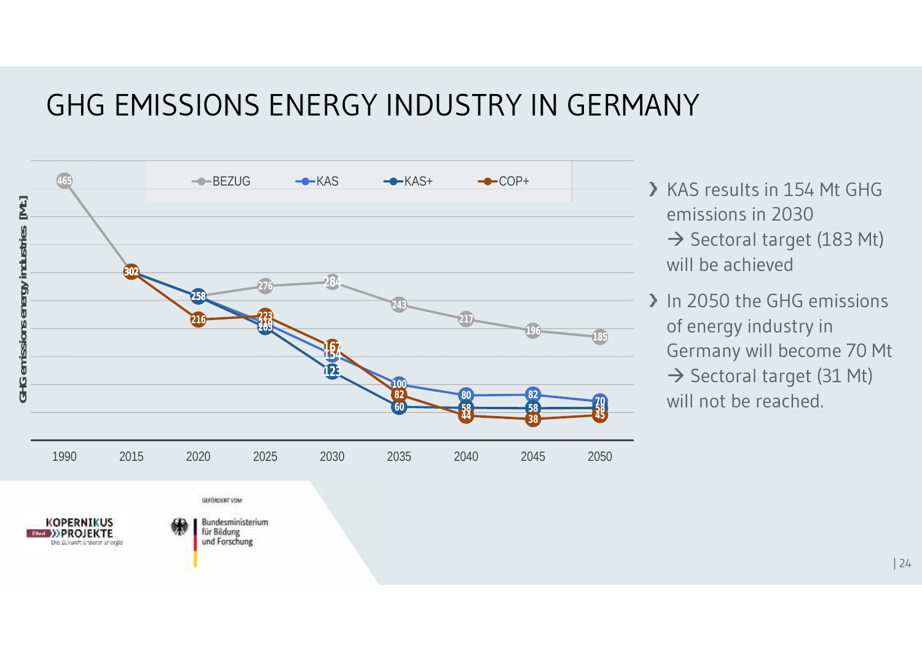### GHG EMISSIONS ENERGY INDUSTRY IN GERMANY



- KAS results in 154 Mt GHG emissions in 2030  $\rightarrow$  Sectoral target (183 Mt) will be achieved
- In 2050 the GHG emissions of energy industry in Germany will become 70 Mt  $\rightarrow$  Sectoral target (31 Mt) will not be reached.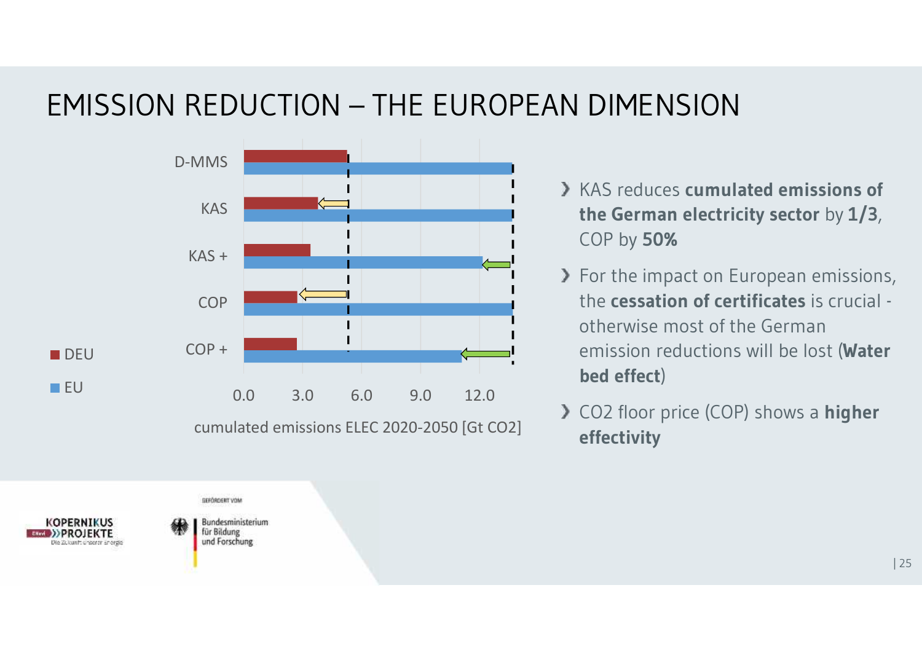# EMISSION REDUCTION – THE EUROPEAN DIMENSION



- KAS reduces **cumulated emissions of the German electricity sector** by **1/3**, COP by **50%**
- > For the impact on European emissions, the **cessation of certificates** is crucial otherwise most of the German emission reductions will be lost (**Water bed effect**)
- CO2 floor price (COP) shows a **higher effectivity**

GEFÖRDERT VOM

**Bundesministerium** für Bildung und Forschung

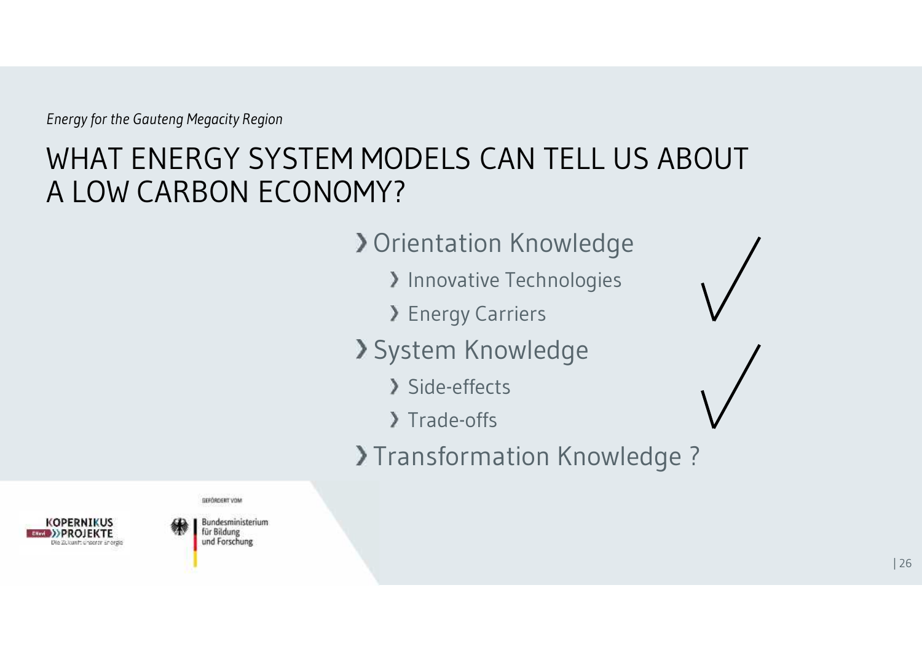# WHAT ENERGY SYSTEM MODELS CAN TELL US ABOUT A LOW CARBON ECONOMY?

**> Orientation Knowledge** 

- > Innovative Technologies
- **> Energy Carriers**
- System Knowledge
	- > Side-effects
	- > Trade-offs
- >Transformation Knowledge ?

**GEFÖRDERT VOM** 



Bundesministerium für Bildung und Forschung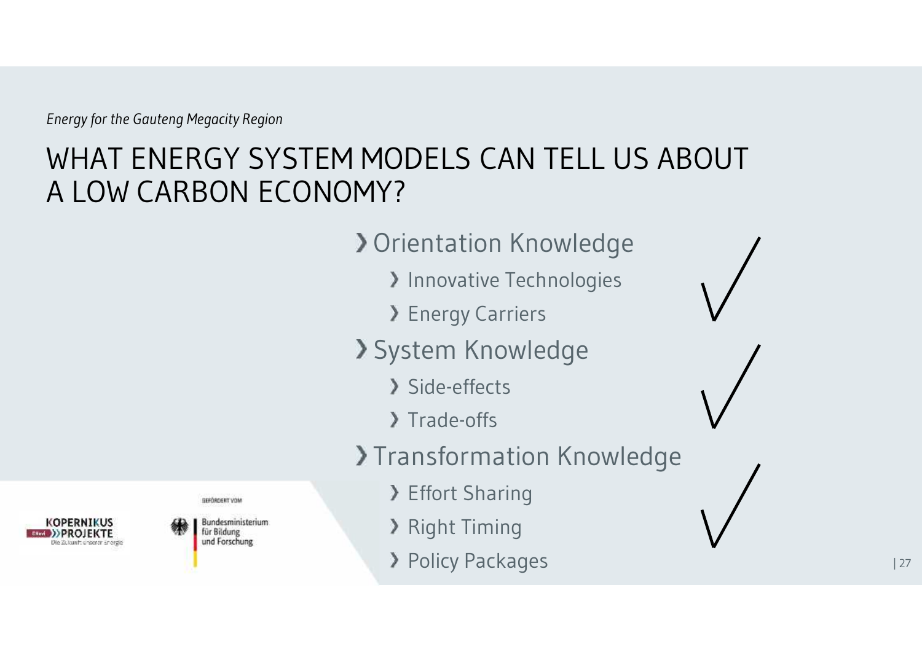# WHAT ENERGY SYSTEM MODELS CAN TELL US ABOUT A LOW CARBON ECONOMY?

**> Orientation Knowledge** 

- > Innovative Technologies
- **> Energy Carriers**
- System Knowledge
	- Side-effects
	- > Trade-offs
- >Transformation Knowledge
	- Effort Sharing
	- **> Right Timing**
	- **> Policy Packages**



Bundesministerium für Bildung und Forschung

**GEFÖRDERT VOM**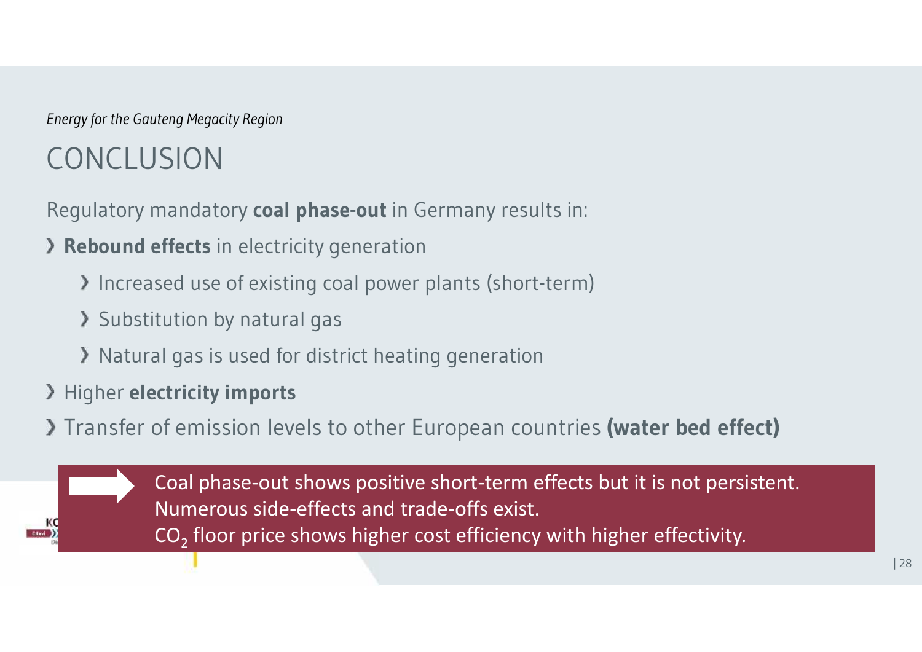# CONCLUSION

Regulatory mandatory **coal phase-out** in Germany results in:

- **Rebound effects** in electricity generation
	- Increased use of existing coal power plants (short-term)
	- Substitution by natural gas
	- X Natural gas is used for district heating generation
- Higher **electricity imports**
- Transfer of emission levels to other European countries **(water bed effect)**

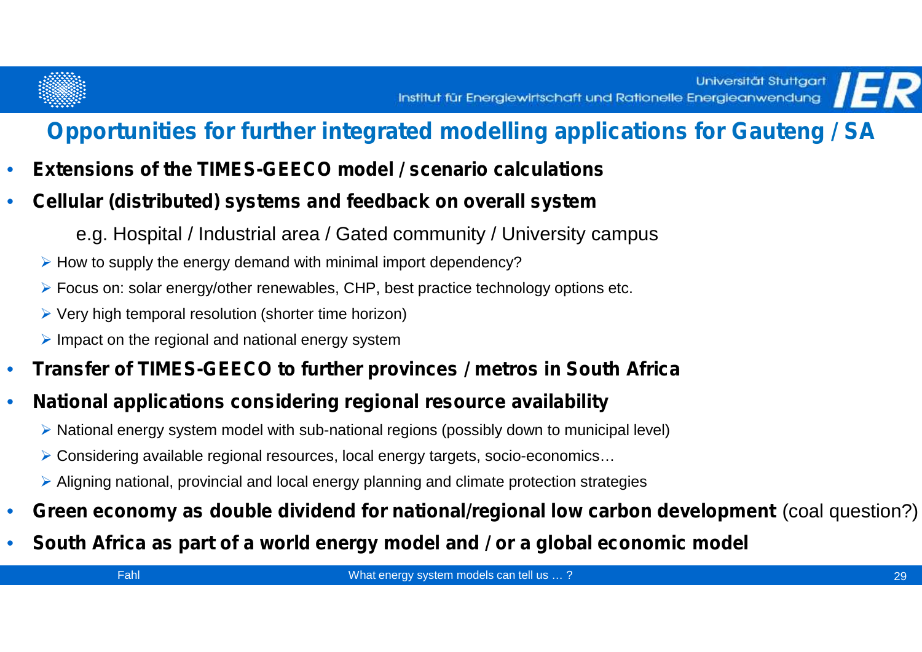

#### **Opportunities for further integrated modelling applications for Gauteng / SA**

- **Extensions of the TIMES-GEECO model / scenario calculations**
- **Cellular (distributed) systems and feedback on overall system**
	- e.g. Hospital / Industrial area / Gated community / University campus
	- $\triangleright$  How to supply the energy demand with minimal import dependency?
	- Focus on: solar energy/other renewables, CHP, best practice technology options etc.
	- $\triangleright$  Very high temporal resolution (shorter time horizon)
	- $\triangleright$  Impact on the regional and national energy system
- **Transfer of TIMES-GEECO to further provinces / metros in South Africa**
- **National applications considering regional resource availability**
	- National energy system model with sub-national regions (possibly down to municipal level)
	- Considering available regional resources, local energy targets, socio-economics…
	- Aligning national, provincial and local energy planning and climate protection strategies
- **Green economy as double dividend for national/regional low carbon development** (coal question?)
- **South Africa as part of a world energy model and / or a global economic model**